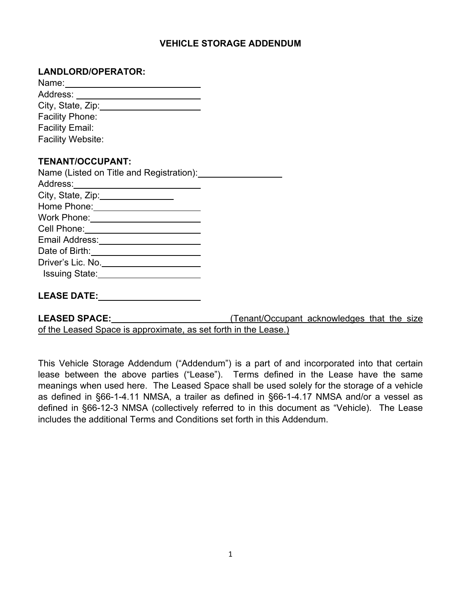## **VEHICLE STORAGE ADDENDUM**

### **LANDLORD/OPERATOR:**

| City, State, Zip: 2000                     |  |
|--------------------------------------------|--|
| <b>Facility Phone:</b>                     |  |
| <b>Facility Email:</b>                     |  |
| <b>Facility Website:</b>                   |  |
|                                            |  |
| <b>TENANT/OCCUPANT:</b>                    |  |
| Name (Listed on Title and Registration):   |  |
|                                            |  |
| City, State, Zip: 2000                     |  |
| Home Phone: ________________________       |  |
|                                            |  |
|                                            |  |
| Email Address: ________________________    |  |
|                                            |  |
| Driver's Lic. No. ________________________ |  |
| Issuing State: <u>contained</u>            |  |
|                                            |  |
| <b>LEASE DATE:</b>                         |  |

| <b>LEASED SPACE:</b>                                            | (Tenant/Occupant acknowledges that the size |  |  |
|-----------------------------------------------------------------|---------------------------------------------|--|--|
| of the Leased Space is approximate, as set forth in the Lease.) |                                             |  |  |

This Vehicle Storage Addendum ("Addendum") is a part of and incorporated into that certain lease between the above parties ("Lease"). Terms defined in the Lease have the same meanings when used here. The Leased Space shall be used solely for the storage of a vehicle as defined in §66-1-4.11 NMSA, a trailer as defined in §66-1-4.17 NMSA and/or a vessel as defined in §66-12-3 NMSA (collectively referred to in this document as "Vehicle). The Lease includes the additional Terms and Conditions set forth in this Addendum.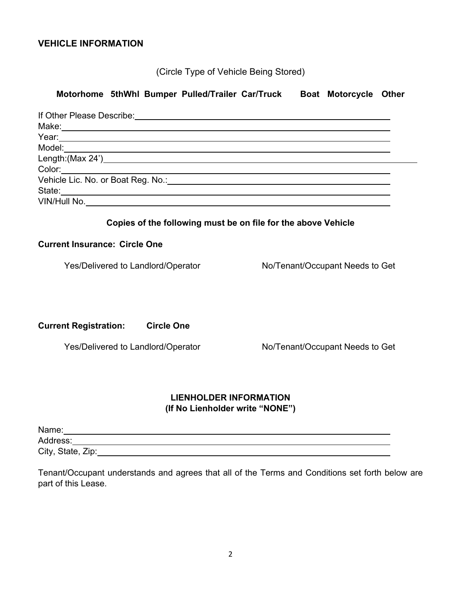### **VEHICLE INFORMATION**

(Circle Type of Vehicle Being Stored)

# **Motorhome 5thWhl Bumper Pulled/Trailer Car/Truck Boat Motorcycle Other** If Other Please Describe: Make: Year: Model: Length:(Max 24') Color: Vehicle Lic. No. or Boat Reg. No.: State: VIN/Hull No. **Copies of the following must be on file for the above Vehicle Current Insurance: Circle One** Yes/Delivered to Landlord/Operator No/Tenant/Occupant Needs to Get

**Current Registration: Circle One**

Yes/Delivered to Landlord/Operator No/Tenant/Occupant Needs to Get

# **LIENHOLDER INFORMATION**

**(If No Lienholder write "NONE")**

Name: 2008. 2009. 2009. 2009. 2010. 2010. 2010. 2010. 2010. 2010. 2010. 2010. 2010. 2010. 2010. 2010. 2010. 20

Address: and the contract of the contract of the contract of the contract of the contract of the contract of the contract of the contract of the contract of the contract of the contract of the contract of the contract of t

City, State, Zip:

Tenant/Occupant understands and agrees that all of the Terms and Conditions set forth below are part of this Lease.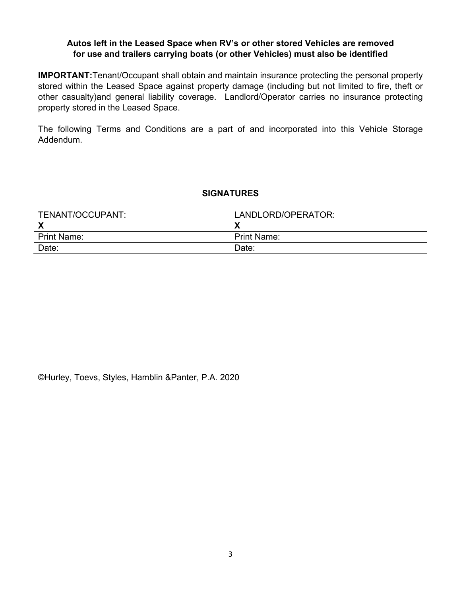### **Autos left in the Leased Space when RV's or other stored Vehicles are removed for use and trailers carrying boats (or other Vehicles) must also be identified**

**IMPORTANT:**Tenant/Occupant shall obtain and maintain insurance protecting the personal property stored within the Leased Space against property damage (including but not limited to fire, theft or other casualty)and general liability coverage. Landlord/Operator carries no insurance protecting property stored in the Leased Space.

The following Terms and Conditions are a part of and incorporated into this Vehicle Storage Addendum.

### **SIGNATURES**

| TENANT/OCCUPANT:   | LANDLORD/OPERATOR: |
|--------------------|--------------------|
|                    |                    |
| <b>Print Name:</b> | <b>Print Name:</b> |
| Date:              | Date:              |

©Hurley, Toevs, Styles, Hamblin &Panter, P.A. 2020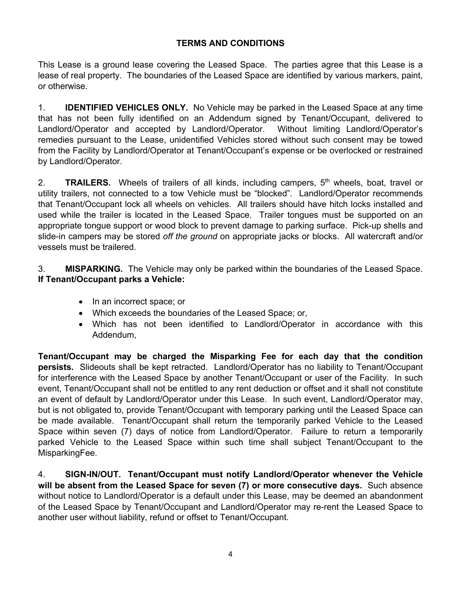## **TERMS AND CONDITIONS**

This Lease is a ground lease covering the Leased Space. The parties agree that this Lease is a lease of real property. The boundaries of the Leased Space are identified by various markers, paint, or otherwise.

1. **IDENTIFIED VEHICLES ONLY.** No Vehicle may be parked in the Leased Space at any time that has not been fully identified on an Addendum signed by Tenant/Occupant, delivered to Landlord/Operator and accepted by Landlord/Operator. Without limiting Landlord/Operator's remedies pursuant to the Lease, unidentified Vehicles stored without such consent may be towed from the Facility by Landlord/Operator at Tenant/Occupant's expense or be overlocked or restrained by Landlord/Operator.

2. **TRAILERS.** Wheels of trailers of all kinds, including campers, 5<sup>th</sup> wheels, boat, travel or utility trailers, not connected to a tow Vehicle must be "blocked". Landlord/Operator recommends that Tenant/Occupant lock all wheels on vehicles. All trailers should have hitch locks installed and used while the trailer is located in the Leased Space. Trailer tongues must be supported on an appropriate tongue support or wood block to prevent damage to parking surface. Pick-up shells and slide-in campers may be stored *off the ground* on appropriate jacks or blocks. All watercraft and/or vessels must be trailered.

3. **MISPARKING.** The Vehicle may only be parked within the boundaries of the Leased Space. **If Tenant/Occupant parks a Vehicle:**

- In an incorrect space; or
- Which exceeds the boundaries of the Leased Space; or,
- Which has not been identified to Landlord/Operator in accordance with this Addendum,

**Tenant/Occupant may be charged the Misparking Fee for each day that the condition persists.** Slideouts shall be kept retracted. Landlord/Operator has no liability to Tenant/Occupant for interference with the Leased Space by another Tenant/Occupant or user of the Facility. In such event, Tenant/Occupant shall not be entitled to any rent deduction or offset and it shall not constitute an event of default by Landlord/Operator under this Lease. In such event, Landlord/Operator may, but is not obligated to, provide Tenant/Occupant with temporary parking until the Leased Space can be made available. Tenant/Occupant shall return the temporarily parked Vehicle to the Leased Space within seven (7) days of notice from Landlord/Operator. Failure to return a temporarily parked Vehicle to the Leased Space within such time shall subject Tenant/Occupant to the MisparkingFee.

4. **SIGN-IN/OUT. Tenant/Occupant must notify Landlord/Operator whenever the Vehicle will be absent from the Leased Space for seven (7) or more consecutive days.** Such absence without notice to Landlord/Operator is a default under this Lease, may be deemed an abandonment of the Leased Space by Tenant/Occupant and Landlord/Operator may re-rent the Leased Space to another user without liability, refund or offset to Tenant/Occupant.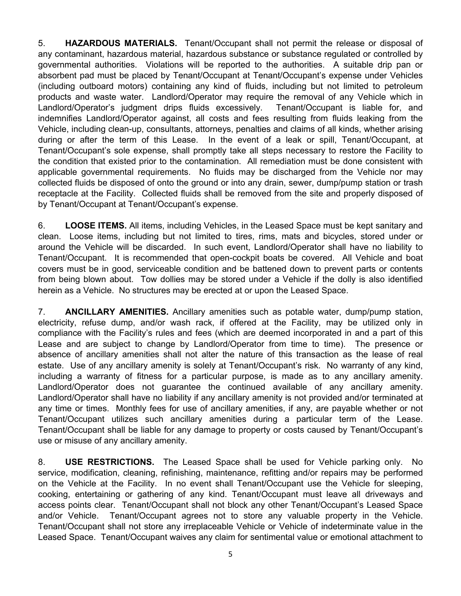5. **HAZARDOUS MATERIALS.** Tenant/Occupant shall not permit the release or disposal of any contaminant, hazardous material, hazardous substance or substance regulated or controlled by governmental authorities. Violations will be reported to the authorities. A suitable drip pan or absorbent pad must be placed by Tenant/Occupant at Tenant/Occupant's expense under Vehicles (including outboard motors) containing any kind of fluids, including but not limited to petroleum products and waste water. Landlord/Operator may require the removal of any Vehicle which in Landlord/Operator's judgment drips fluids excessively. Tenant/Occupant is liable for, and indemnifies Landlord/Operator against, all costs and fees resulting from fluids leaking from the Vehicle, including clean-up, consultants, attorneys, penalties and claims of all kinds, whether arising during or after the term of this Lease. In the event of a leak or spill, Tenant/Occupant, at Tenant/Occupant's sole expense, shall promptly take all steps necessary to restore the Facility to the condition that existed prior to the contamination. All remediation must be done consistent with applicable governmental requirements. No fluids may be discharged from the Vehicle nor may collected fluids be disposed of onto the ground or into any drain, sewer, dump/pump station or trash receptacle at the Facility. Collected fluids shall be removed from the site and properly disposed of by Tenant/Occupant at Tenant/Occupant's expense.

6. **LOOSE ITEMS.** All items, including Vehicles, in the Leased Space must be kept sanitary and clean. Loose items, including but not limited to tires, rims, mats and bicycles, stored under or around the Vehicle will be discarded. In such event, Landlord/Operator shall have no liability to Tenant/Occupant. It is recommended that open-cockpit boats be covered. All Vehicle and boat covers must be in good, serviceable condition and be battened down to prevent parts or contents from being blown about. Tow dollies may be stored under a Vehicle if the dolly is also identified herein as a Vehicle. No structures may be erected at or upon the Leased Space.

7. **ANCILLARY AMENITIES.** Ancillary amenities such as potable water, dump/pump station, electricity, refuse dump, and/or wash rack, if offered at the Facility, may be utilized only in compliance with the Facility's rules and fees (which are deemed incorporated in and a part of this Lease and are subject to change by Landlord/Operator from time to time). The presence or absence of ancillary amenities shall not alter the nature of this transaction as the lease of real estate. Use of any ancillary amenity is solely at Tenant/Occupant's risk. No warranty of any kind, including a warranty of fitness for a particular purpose, is made as to any ancillary amenity. Landlord/Operator does not guarantee the continued available of any ancillary amenity. Landlord/Operator shall have no liability if any ancillary amenity is not provided and/or terminated at any time or times. Monthly fees for use of ancillary amenities, if any, are payable whether or not Tenant/Occupant utilizes such ancillary amenities during a particular term of the Lease. Tenant/Occupant shall be liable for any damage to property or costs caused by Tenant/Occupant's use or misuse of any ancillary amenity.

8. **USE RESTRICTIONS.** The Leased Space shall be used for Vehicle parking only. No service, modification, cleaning, refinishing, maintenance, refitting and/or repairs may be performed on the Vehicle at the Facility. In no event shall Tenant/Occupant use the Vehicle for sleeping, cooking, entertaining or gathering of any kind. Tenant/Occupant must leave all driveways and access points clear. Tenant/Occupant shall not block any other Tenant/Occupant's Leased Space and/or Vehicle. Tenant/Occupant agrees not to store any valuable property in the Vehicle. Tenant/Occupant shall not store any irreplaceable Vehicle or Vehicle of indeterminate value in the Leased Space. Tenant/Occupant waives any claim for sentimental value or emotional attachment to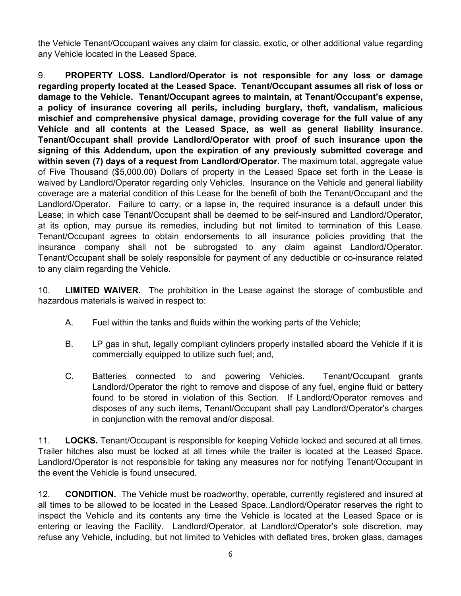the Vehicle Tenant/Occupant waives any claim for classic, exotic, or other additional value regarding any Vehicle located in the Leased Space.

9. **PROPERTY LOSS. Landlord/Operator is not responsible for any loss or damage regarding property located at the Leased Space. Tenant/Occupant assumes all risk of loss or damage to the Vehicle. Tenant/Occupant agrees to maintain, at Tenant/Occupant's expense, a policy of insurance covering all perils, including burglary, theft, vandalism, malicious mischief and comprehensive physical damage, providing coverage for the full value of any Vehicle and all contents at the Leased Space, as well as general liability insurance. Tenant/Occupant shall provide Landlord/Operator with proof of such insurance upon the signing of this Addendum, upon the expiration of any previously submitted coverage and within seven (7) days of a request from Landlord/Operator.** The maximum total, aggregate value of Five Thousand (\$5,000.00) Dollars of property in the Leased Space set forth in the Lease is waived by Landlord/Operator regarding only Vehicles. Insurance on the Vehicle and general liability coverage are a material condition of this Lease for the benefit of both the Tenant/Occupant and the Landlord/Operator. Failure to carry, or a lapse in, the required insurance is a default under this Lease; in which case Tenant/Occupant shall be deemed to be self-insured and Landlord/Operator, at its option, may pursue its remedies, including but not limited to termination of this Lease. Tenant/Occupant agrees to obtain endorsements to all insurance policies providing that the insurance company shall not be subrogated to any claim against Landlord/Operator. Tenant/Occupant shall be solely responsible for payment of any deductible or co-insurance related to any claim regarding the Vehicle.

10. **LIMITED WAIVER.** The prohibition in the Lease against the storage of combustible and hazardous materials is waived in respect to:

- A. Fuel within the tanks and fluids within the working parts of the Vehicle;
- B. LP gas in shut, legally compliant cylinders properly installed aboard the Vehicle if it is commercially equipped to utilize such fuel; and,
- C. Batteries connected to and powering Vehicles. Tenant/Occupant grants Landlord/Operator the right to remove and dispose of any fuel, engine fluid or battery found to be stored in violation of this Section. If Landlord/Operator removes and disposes of any such items, Tenant/Occupant shall pay Landlord/Operator's charges in conjunction with the removal and/or disposal.

11. **LOCKS.** Tenant/Occupant is responsible for keeping Vehicle locked and secured at all times. Trailer hitches also must be locked at all times while the trailer is located at the Leased Space. Landlord/Operator is not responsible for taking any measures nor for notifying Tenant/Occupant in the event the Vehicle is found unsecured.

12. **CONDITION.** The Vehicle must be roadworthy, operable, currently registered and insured at all times to be allowed to be located in the Leased Space..Landlord/Operator reserves the right to inspect the Vehicle and its contents any time the Vehicle is located at the Leased Space or is entering or leaving the Facility. Landlord/Operator, at Landlord/Operator's sole discretion, may refuse any Vehicle, including, but not limited to Vehicles with deflated tires, broken glass, damages